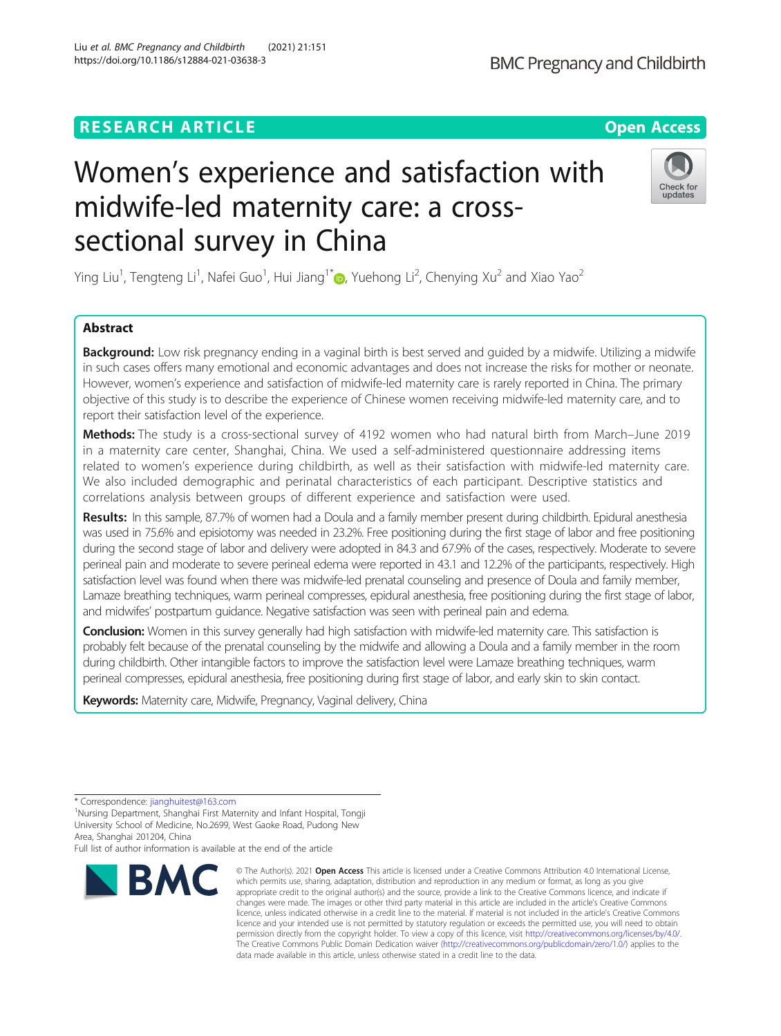## **RESEARCH ARTICLE Example 2014 12:30 The Contract of Contract ACCESS**

# Women's experience and satisfaction with midwife-led maternity care: a crosssectional survey in China

Ying Liu<sup>1</sup>, Tengteng Li<sup>1</sup>, Nafei Guo<sup>1</sup>, Hui Jiang<sup>1[\\*](http://orcid.org/0000-0003-1433-4979)</sup>. Yuehong Li<sup>2</sup>, Chenying Xu<sup>2</sup> and Xiao Yao<sup>2</sup>

## Abstract

Background: Low risk pregnancy ending in a vaginal birth is best served and guided by a midwife. Utilizing a midwife in such cases offers many emotional and economic advantages and does not increase the risks for mother or neonate. However, women's experience and satisfaction of midwife-led maternity care is rarely reported in China. The primary objective of this study is to describe the experience of Chinese women receiving midwife-led maternity care, and to report their satisfaction level of the experience.

Methods: The study is a cross-sectional survey of 4192 women who had natural birth from March–June 2019 in a maternity care center, Shanghai, China. We used a self-administered questionnaire addressing items related to women's experience during childbirth, as well as their satisfaction with midwife-led maternity care. We also included demographic and perinatal characteristics of each participant. Descriptive statistics and correlations analysis between groups of different experience and satisfaction were used.

Results: In this sample, 87.7% of women had a Doula and a family member present during childbirth. Epidural anesthesia was used in 75.6% and episiotomy was needed in 23.2%. Free positioning during the first stage of labor and free positioning during the second stage of labor and delivery were adopted in 84.3 and 67.9% of the cases, respectively. Moderate to severe perineal pain and moderate to severe perineal edema were reported in 43.1 and 12.2% of the participants, respectively. High satisfaction level was found when there was midwife-led prenatal counseling and presence of Doula and family member, Lamaze breathing techniques, warm perineal compresses, epidural anesthesia, free positioning during the first stage of labor, and midwifes' postpartum guidance. Negative satisfaction was seen with perineal pain and edema.

**Conclusion:** Women in this survey generally had high satisfaction with midwife-led maternity care. This satisfaction is probably felt because of the prenatal counseling by the midwife and allowing a Doula and a family member in the room during childbirth. Other intangible factors to improve the satisfaction level were Lamaze breathing techniques, warm perineal compresses, epidural anesthesia, free positioning during first stage of labor, and early skin to skin contact.

Keywords: Maternity care, Midwife, Pregnancy, Vaginal delivery, China

Full list of author information is available at the end of the article

#### © The Author(s), 2021 **Open Access** This article is licensed under a Creative Commons Attribution 4.0 International License, which permits use, sharing, adaptation, distribution and reproduction in any medium or format, as long as you give appropriate credit to the original author(s) and the source, provide a link to the Creative Commons licence, and indicate if changes were made. The images or other third party material in this article are included in the article's Creative Commons licence, unless indicated otherwise in a credit line to the material. If material is not included in the article's Creative Commons licence and your intended use is not permitted by statutory regulation or exceeds the permitted use, you will need to obtain permission directly from the copyright holder. To view a copy of this licence, visit [http://creativecommons.org/licenses/by/4.0/.](http://creativecommons.org/licenses/by/4.0/) The Creative Commons Public Domain Dedication waiver [\(http://creativecommons.org/publicdomain/zero/1.0/](http://creativecommons.org/publicdomain/zero/1.0/)) applies to the data made available in this article, unless otherwise stated in a credit line to the data.

**RMC** 







<sup>\*</sup> Correspondence: [jianghuitest@163.com](mailto:jianghuitest@163.com) <sup>1</sup>

<sup>&</sup>lt;sup>1</sup>Nursing Department, Shanghai First Maternity and Infant Hospital, Tongji University School of Medicine, No.2699, West Gaoke Road, Pudong New Area, Shanghai 201204, China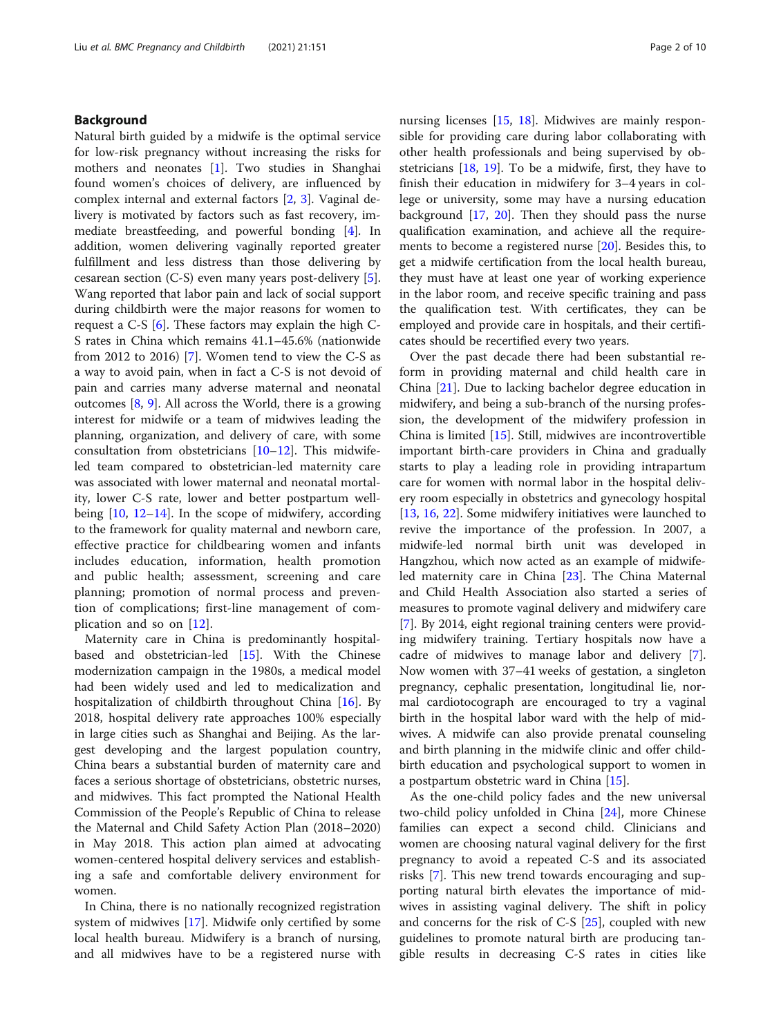## Background

Natural birth guided by a midwife is the optimal service for low-risk pregnancy without increasing the risks for mothers and neonates [\[1](#page-8-0)]. Two studies in Shanghai found women's choices of delivery, are influenced by complex internal and external factors [[2,](#page-8-0) [3](#page-8-0)]. Vaginal delivery is motivated by factors such as fast recovery, immediate breastfeeding, and powerful bonding [\[4](#page-8-0)]. In addition, women delivering vaginally reported greater fulfillment and less distress than those delivering by cesarean section (C-S) even many years post-delivery [\[5](#page-8-0)]. Wang reported that labor pain and lack of social support during childbirth were the major reasons for women to request a C-S [[6\]](#page-8-0). These factors may explain the high C-S rates in China which remains 41.1–45.6% (nationwide from 2012 to 2016) [\[7](#page-8-0)]. Women tend to view the C-S as a way to avoid pain, when in fact a C-S is not devoid of pain and carries many adverse maternal and neonatal outcomes [\[8](#page-8-0), [9](#page-8-0)]. All across the World, there is a growing interest for midwife or a team of midwives leading the planning, organization, and delivery of care, with some consultation from obstetricians [[10](#page-8-0)–[12](#page-8-0)]. This midwifeled team compared to obstetrician-led maternity care was associated with lower maternal and neonatal mortality, lower C-S rate, lower and better postpartum wellbeing  $[10, 12-14]$  $[10, 12-14]$  $[10, 12-14]$  $[10, 12-14]$  $[10, 12-14]$  $[10, 12-14]$  $[10, 12-14]$ . In the scope of midwifery, according to the framework for quality maternal and newborn care, effective practice for childbearing women and infants includes education, information, health promotion and public health; assessment, screening and care planning; promotion of normal process and prevention of complications; first-line management of complication and so on  $[12]$  $[12]$ .

Maternity care in China is predominantly hospitalbased and obstetrician-led [\[15\]](#page-9-0). With the Chinese modernization campaign in the 1980s, a medical model had been widely used and led to medicalization and hospitalization of childbirth throughout China [[16](#page-9-0)]. By 2018, hospital delivery rate approaches 100% especially in large cities such as Shanghai and Beijing. As the largest developing and the largest population country, China bears a substantial burden of maternity care and faces a serious shortage of obstetricians, obstetric nurses, and midwives. This fact prompted the National Health Commission of the People's Republic of China to release the Maternal and Child Safety Action Plan (2018–2020) in May 2018. This action plan aimed at advocating women-centered hospital delivery services and establishing a safe and comfortable delivery environment for women.

In China, there is no nationally recognized registration system of midwives [[17](#page-9-0)]. Midwife only certified by some local health bureau. Midwifery is a branch of nursing, and all midwives have to be a registered nurse with nursing licenses [[15,](#page-9-0) [18](#page-9-0)]. Midwives are mainly responsible for providing care during labor collaborating with other health professionals and being supervised by obstetricians  $[18, 19]$  $[18, 19]$  $[18, 19]$ . To be a midwife, first, they have to finish their education in midwifery for 3–4 years in college or university, some may have a nursing education background  $[17, 20]$  $[17, 20]$  $[17, 20]$  $[17, 20]$  $[17, 20]$ . Then they should pass the nurse qualification examination, and achieve all the requirements to become a registered nurse [[20\]](#page-9-0). Besides this, to get a midwife certification from the local health bureau, they must have at least one year of working experience in the labor room, and receive specific training and pass the qualification test. With certificates, they can be employed and provide care in hospitals, and their certificates should be recertified every two years.

Over the past decade there had been substantial reform in providing maternal and child health care in China [[21](#page-9-0)]. Due to lacking bachelor degree education in midwifery, and being a sub-branch of the nursing profession, the development of the midwifery profession in China is limited [[15\]](#page-9-0). Still, midwives are incontrovertible important birth-care providers in China and gradually starts to play a leading role in providing intrapartum care for women with normal labor in the hospital delivery room especially in obstetrics and gynecology hospital [[13,](#page-8-0) [16,](#page-9-0) [22\]](#page-9-0). Some midwifery initiatives were launched to revive the importance of the profession. In 2007, a midwife-led normal birth unit was developed in Hangzhou, which now acted as an example of midwifeled maternity care in China [[23\]](#page-9-0). The China Maternal and Child Health Association also started a series of measures to promote vaginal delivery and midwifery care [[7\]](#page-8-0). By 2014, eight regional training centers were providing midwifery training. Tertiary hospitals now have a cadre of midwives to manage labor and delivery [\[7](#page-8-0)]. Now women with 37–41 weeks of gestation, a singleton pregnancy, cephalic presentation, longitudinal lie, normal cardiotocograph are encouraged to try a vaginal birth in the hospital labor ward with the help of midwives. A midwife can also provide prenatal counseling and birth planning in the midwife clinic and offer childbirth education and psychological support to women in a postpartum obstetric ward in China [[15\]](#page-9-0).

As the one-child policy fades and the new universal two-child policy unfolded in China [[24\]](#page-9-0), more Chinese families can expect a second child. Clinicians and women are choosing natural vaginal delivery for the first pregnancy to avoid a repeated C-S and its associated risks [\[7](#page-8-0)]. This new trend towards encouraging and supporting natural birth elevates the importance of midwives in assisting vaginal delivery. The shift in policy and concerns for the risk of C-S [\[25](#page-9-0)], coupled with new guidelines to promote natural birth are producing tangible results in decreasing C-S rates in cities like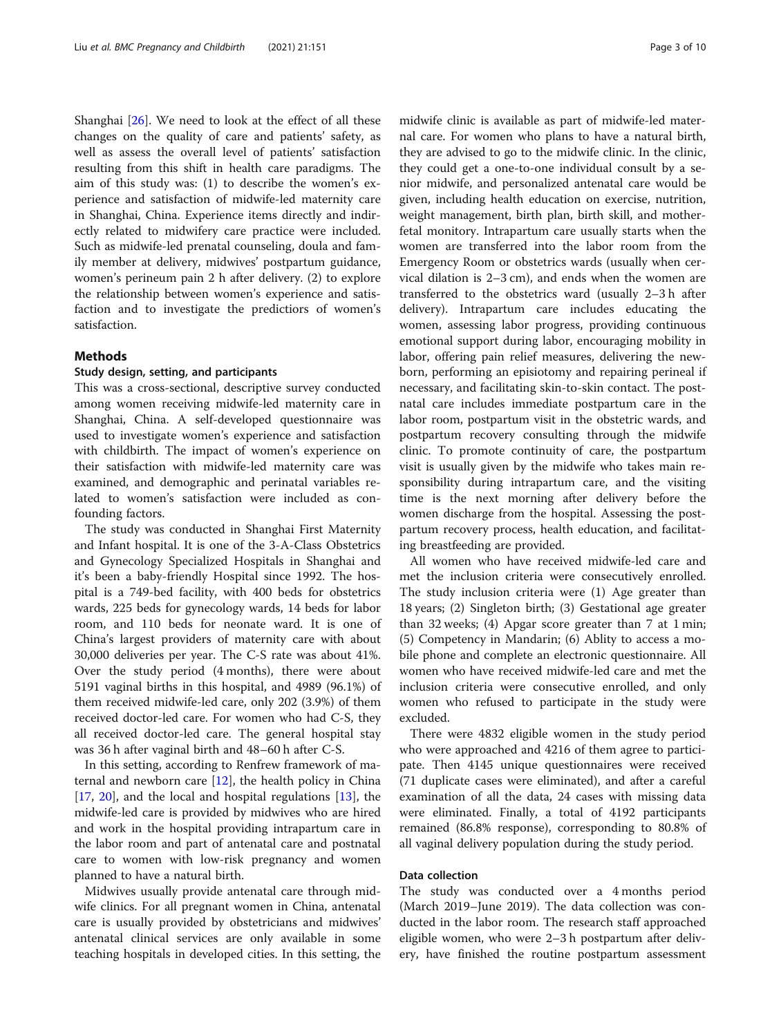Shanghai [\[26](#page-9-0)]. We need to look at the effect of all these changes on the quality of care and patients' safety, as well as assess the overall level of patients' satisfaction resulting from this shift in health care paradigms. The aim of this study was: (1) to describe the women's experience and satisfaction of midwife-led maternity care in Shanghai, China. Experience items directly and indirectly related to midwifery care practice were included. Such as midwife-led prenatal counseling, doula and family member at delivery, midwives' postpartum guidance, women's perineum pain 2 h after delivery. (2) to explore the relationship between women's experience and satisfaction and to investigate the predictiors of women's satisfaction.

#### Methods

#### Study design, setting, and participants

This was a cross-sectional, descriptive survey conducted among women receiving midwife-led maternity care in Shanghai, China. A self-developed questionnaire was used to investigate women's experience and satisfaction with childbirth. The impact of women's experience on their satisfaction with midwife-led maternity care was examined, and demographic and perinatal variables related to women's satisfaction were included as confounding factors.

The study was conducted in Shanghai First Maternity and Infant hospital. It is one of the 3-A-Class Obstetrics and Gynecology Specialized Hospitals in Shanghai and it's been a baby-friendly Hospital since 1992. The hospital is a 749-bed facility, with 400 beds for obstetrics wards, 225 beds for gynecology wards, 14 beds for labor room, and 110 beds for neonate ward. It is one of China's largest providers of maternity care with about 30,000 deliveries per year. The C-S rate was about 41%. Over the study period (4 months), there were about 5191 vaginal births in this hospital, and 4989 (96.1%) of them received midwife-led care, only 202 (3.9%) of them received doctor-led care. For women who had C-S, they all received doctor-led care. The general hospital stay was 36 h after vaginal birth and 48–60 h after C-S.

In this setting, according to Renfrew framework of maternal and newborn care  $[12]$  $[12]$ , the health policy in China [[17,](#page-9-0) [20](#page-9-0)], and the local and hospital regulations [[13\]](#page-8-0), the midwife-led care is provided by midwives who are hired and work in the hospital providing intrapartum care in the labor room and part of antenatal care and postnatal care to women with low-risk pregnancy and women planned to have a natural birth.

Midwives usually provide antenatal care through midwife clinics. For all pregnant women in China, antenatal care is usually provided by obstetricians and midwives' antenatal clinical services are only available in some teaching hospitals in developed cities. In this setting, the

midwife clinic is available as part of midwife-led maternal care. For women who plans to have a natural birth, they are advised to go to the midwife clinic. In the clinic, they could get a one-to-one individual consult by a senior midwife, and personalized antenatal care would be given, including health education on exercise, nutrition, weight management, birth plan, birth skill, and motherfetal monitory. Intrapartum care usually starts when the women are transferred into the labor room from the Emergency Room or obstetrics wards (usually when cervical dilation is 2–3 cm), and ends when the women are transferred to the obstetrics ward (usually 2–3 h after delivery). Intrapartum care includes educating the women, assessing labor progress, providing continuous emotional support during labor, encouraging mobility in labor, offering pain relief measures, delivering the newborn, performing an episiotomy and repairing perineal if necessary, and facilitating skin-to-skin contact. The postnatal care includes immediate postpartum care in the labor room, postpartum visit in the obstetric wards, and postpartum recovery consulting through the midwife clinic. To promote continuity of care, the postpartum visit is usually given by the midwife who takes main responsibility during intrapartum care, and the visiting time is the next morning after delivery before the women discharge from the hospital. Assessing the postpartum recovery process, health education, and facilitating breastfeeding are provided.

All women who have received midwife-led care and met the inclusion criteria were consecutively enrolled. The study inclusion criteria were (1) Age greater than 18 years; (2) Singleton birth; (3) Gestational age greater than 32 weeks; (4) Apgar score greater than 7 at 1 min; (5) Competency in Mandarin; (6) Ablity to access a mobile phone and complete an electronic questionnaire. All women who have received midwife-led care and met the inclusion criteria were consecutive enrolled, and only women who refused to participate in the study were excluded.

There were 4832 eligible women in the study period who were approached and 4216 of them agree to participate. Then 4145 unique questionnaires were received (71 duplicate cases were eliminated), and after a careful examination of all the data, 24 cases with missing data were eliminated. Finally, a total of 4192 participants remained (86.8% response), corresponding to 80.8% of all vaginal delivery population during the study period.

#### Data collection

The study was conducted over a 4 months period (March 2019–June 2019). The data collection was conducted in the labor room. The research staff approached eligible women, who were 2–3 h postpartum after delivery, have finished the routine postpartum assessment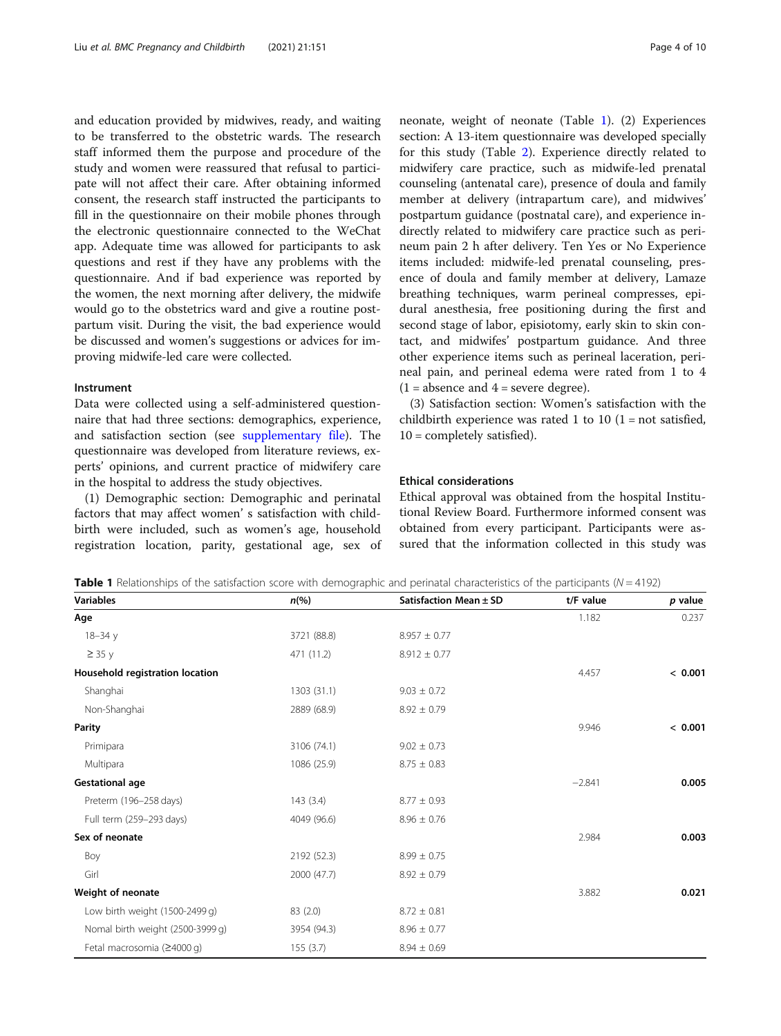<span id="page-3-0"></span>and education provided by midwives, ready, and waiting to be transferred to the obstetric wards. The research staff informed them the purpose and procedure of the study and women were reassured that refusal to participate will not affect their care. After obtaining informed consent, the research staff instructed the participants to fill in the questionnaire on their mobile phones through the electronic questionnaire connected to the WeChat app. Adequate time was allowed for participants to ask questions and rest if they have any problems with the questionnaire. And if bad experience was reported by the women, the next morning after delivery, the midwife would go to the obstetrics ward and give a routine postpartum visit. During the visit, the bad experience would be discussed and women's suggestions or advices for improving midwife-led care were collected.

## Instrument

Data were collected using a self-administered questionnaire that had three sections: demographics, experience, and satisfaction section (see [supplementary file](#page-8-0)). The questionnaire was developed from literature reviews, experts' opinions, and current practice of midwifery care in the hospital to address the study objectives.

(1) Demographic section: Demographic and perinatal factors that may affect women' s satisfaction with childbirth were included, such as women's age, household registration location, parity, gestational age, sex of neonate, weight of neonate (Table 1). (2) Experiences section: A 13-item questionnaire was developed specially for this study (Table [2](#page-4-0)). Experience directly related to midwifery care practice, such as midwife-led prenatal counseling (antenatal care), presence of doula and family member at delivery (intrapartum care), and midwives' postpartum guidance (postnatal care), and experience indirectly related to midwifery care practice such as perineum pain 2 h after delivery. Ten Yes or No Experience items included: midwife-led prenatal counseling, presence of doula and family member at delivery, Lamaze breathing techniques, warm perineal compresses, epidural anesthesia, free positioning during the first and second stage of labor, episiotomy, early skin to skin contact, and midwifes' postpartum guidance. And three other experience items such as perineal laceration, perineal pain, and perineal edema were rated from 1 to 4  $(1 = \text{absence and } 4 = \text{severe degree}).$ 

(3) Satisfaction section: Women's satisfaction with the childbirth experience was rated 1 to 10  $(1 = not satisfied,$ 10 = completely satisfied).

### Ethical considerations

Ethical approval was obtained from the hospital Institutional Review Board. Furthermore informed consent was obtained from every participant. Participants were assured that the information collected in this study was

**Table 1** Relationships of the satisfaction score with demographic and perinatal characteristics of the participants ( $N = 4192$ )

| <b>Variables</b>                 | $n\frac{6}{6}$ | Satisfaction Mean ± SD | t/F value | p value |
|----------------------------------|----------------|------------------------|-----------|---------|
| Age                              |                |                        | 1.182     | 0.237   |
| $18 - 34y$                       | 3721 (88.8)    | $8.957 \pm 0.77$       |           |         |
| $\geq$ 35 y                      | 471 (11.2)     | $8.912 \pm 0.77$       |           |         |
| Household registration location  |                |                        | 4.457     | < 0.001 |
| Shanghai                         | 1303 (31.1)    | $9.03 \pm 0.72$        |           |         |
| Non-Shanghai                     | 2889 (68.9)    | $8.92 \pm 0.79$        |           |         |
| Parity                           |                |                        | 9.946     | < 0.001 |
| Primipara                        | 3106 (74.1)    | $9.02 \pm 0.73$        |           |         |
| Multipara                        | 1086 (25.9)    | $8.75 \pm 0.83$        |           |         |
| <b>Gestational age</b>           |                |                        | $-2.841$  | 0.005   |
| Preterm (196-258 days)           | 143(3.4)       | $8.77 \pm 0.93$        |           |         |
| Full term (259-293 days)         | 4049 (96.6)    | $8.96 \pm 0.76$        |           |         |
| Sex of neonate                   |                |                        | 2.984     | 0.003   |
| Boy                              | 2192 (52.3)    | $8.99 \pm 0.75$        |           |         |
| Girl                             | 2000 (47.7)    | $8.92 \pm 0.79$        |           |         |
| Weight of neonate                |                |                        | 3.882     | 0.021   |
| Low birth weight (1500-2499 g)   | 83 (2.0)       | $8.72 \pm 0.81$        |           |         |
| Nomal birth weight (2500-3999 g) | 3954 (94.3)    | $8.96 \pm 0.77$        |           |         |
| Fetal macrosomia (≥4000 g)       | 155(3.7)       | $8.94 \pm 0.69$        |           |         |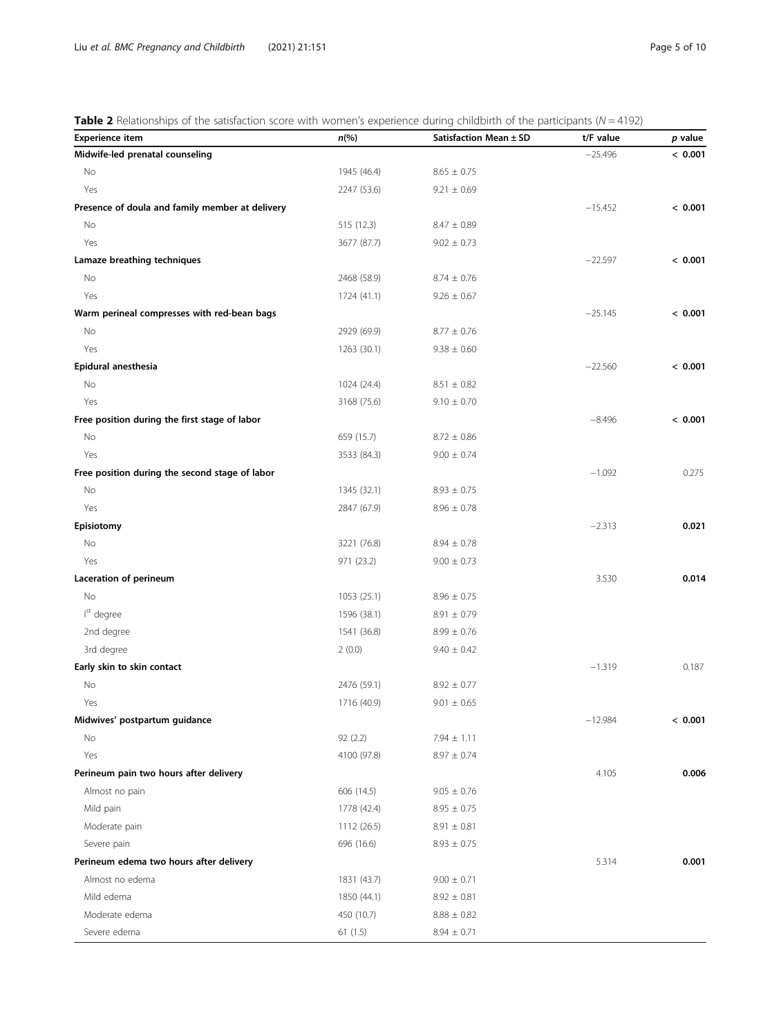<span id="page-4-0"></span>**Table 2** Relationships of the satisfaction score with women's experience during childbirth of the participants ( $N = 4192$ )

| <b>Experience item</b>                          | $n\left(\%\right)$ | Satisfaction Mean ± SD | t/F value | $p$ value |
|-------------------------------------------------|--------------------|------------------------|-----------|-----------|
| Midwife-led prenatal counseling                 |                    |                        | $-25.496$ | < 0.001   |
| No                                              | 1945 (46.4)        | $8.65 \pm 0.75$        |           |           |
| Yes                                             | 2247 (53.6)        | $9.21 \pm 0.69$        |           |           |
| Presence of doula and family member at delivery |                    |                        | $-15.452$ | < 0.001   |
| No                                              | 515 (12.3)         | $8.47 \pm 0.89$        |           |           |
| Yes                                             | 3677 (87.7)        | $9.02 \pm 0.73$        |           |           |
| Lamaze breathing techniques                     |                    |                        | $-22.597$ | < 0.001   |
| No                                              | 2468 (58.9)        | $8.74 \pm 0.76$        |           |           |
| Yes                                             | 1724 (41.1)        | $9.26 \pm 0.67$        |           |           |
| Warm perineal compresses with red-bean bags     |                    |                        | $-25.145$ | < 0.001   |
| No                                              | 2929 (69.9)        | $8.77 \pm 0.76$        |           |           |
| Yes                                             | 1263 (30.1)        | $9.38 \pm 0.60$        |           |           |
| Epidural anesthesia                             |                    |                        | $-22.560$ | < 0.001   |
| No                                              | 1024 (24.4)        | $8.51 \pm 0.82$        |           |           |
| Yes                                             | 3168 (75.6)        | $9.10 \pm 0.70$        |           |           |
| Free position during the first stage of labor   |                    |                        | $-8.496$  | < 0.001   |
| No                                              | 659 (15.7)         | $8.72 \pm 0.86$        |           |           |
| Yes                                             | 3533 (84.3)        | $9.00 \pm 0.74$        |           |           |
| Free position during the second stage of labor  |                    |                        | $-1.092$  | 0.275     |
| No                                              | 1345 (32.1)        | $8.93 \pm 0.75$        |           |           |
| Yes                                             | 2847 (67.9)        | $8.96 \pm 0.78$        |           |           |
| Episiotomy                                      |                    |                        | $-2.313$  | 0.021     |
| No                                              | 3221 (76.8)        | $8.94 \pm 0.78$        |           |           |
| Yes                                             | 971 (23.2)         | $9.00 \pm 0.73$        |           |           |
| Laceration of perineum                          |                    |                        | 3.530     | 0.014     |
| No                                              | 1053 (25.1)        | $8.96 \pm 0.75$        |           |           |
| I <sup>st</sup> degree                          | 1596 (38.1)        | $8.91 \pm 0.79$        |           |           |
| 2nd degree                                      | 1541 (36.8)        | $8.99 \pm 0.76$        |           |           |
| 3rd degree                                      | 2(0.0)             | $9.40 \pm 0.42$        |           |           |
| Early skin to skin contact                      |                    |                        | $-1.319$  | 0.187     |
| No                                              | 2476 (59.1)        | $8.92 \pm 0.77$        |           |           |
| Yes                                             | 1716 (40.9)        | $9.01 \pm 0.65$        |           |           |
| Midwives' postpartum guidance                   |                    |                        | $-12.984$ | < 0.001   |
| No                                              | 92 (2.2)           | $7.94 \pm 1.11$        |           |           |
| Yes                                             | 4100 (97.8)        | $8.97 \pm 0.74$        |           |           |
| Perineum pain two hours after delivery          |                    |                        | 4.105     | 0.006     |
| Almost no pain                                  | 606 (14.5)         | $9.05 \pm 0.76$        |           |           |
| Mild pain                                       | 1778 (42.4)        | $8.95 \pm 0.75$        |           |           |
| Moderate pain                                   | 1112 (26.5)        | $8.91 \pm 0.81$        |           |           |
| Severe pain                                     | 696 (16.6)         | $8.93 \pm 0.75$        |           |           |
| Perineum edema two hours after delivery         |                    |                        | 5.314     | 0.001     |
| Almost no edema                                 | 1831 (43.7)        | $9.00 \pm 0.71$        |           |           |
| Mild edema                                      | 1850 (44.1)        | $8.92 \pm 0.81$        |           |           |
| Moderate edema                                  | 450 (10.7)         | $8.88 \pm 0.82$        |           |           |
| Severe edema                                    | 61(1.5)            | $8.94 \pm 0.71$        |           |           |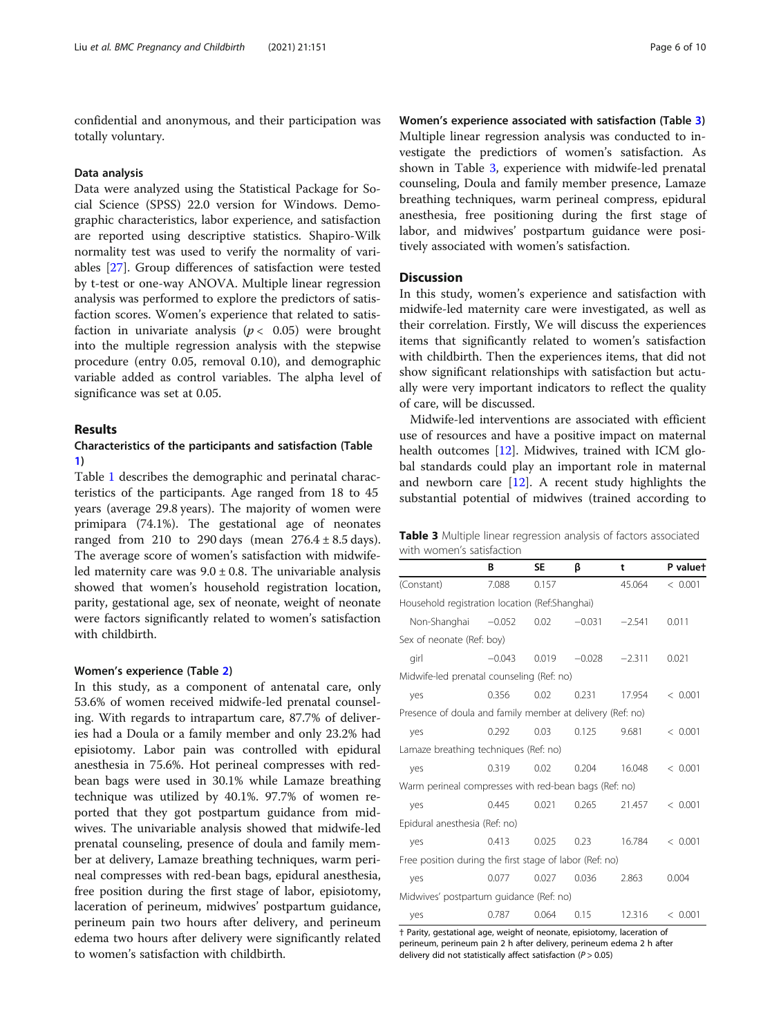confidential and anonymous, and their participation was totally voluntary.

#### Data analysis

Data were analyzed using the Statistical Package for Social Science (SPSS) 22.0 version for Windows. Demographic characteristics, labor experience, and satisfaction are reported using descriptive statistics. Shapiro-Wilk normality test was used to verify the normality of variables [\[27\]](#page-9-0). Group differences of satisfaction were tested by t-test or one-way ANOVA. Multiple linear regression analysis was performed to explore the predictors of satisfaction scores. Women's experience that related to satisfaction in univariate analysis ( $p < 0.05$ ) were brought into the multiple regression analysis with the stepwise procedure (entry 0.05, removal 0.10), and demographic variable added as control variables. The alpha level of significance was set at 0.05.

## Results

## Characteristics of the participants and satisfaction (Table [1\)](#page-3-0)

Table [1](#page-3-0) describes the demographic and perinatal characteristics of the participants. Age ranged from 18 to 45 years (average 29.8 years). The majority of women were primipara (74.1%). The gestational age of neonates ranged from 210 to 290 days (mean  $276.4 \pm 8.5$  days). The average score of women's satisfaction with midwifeled maternity care was  $9.0 \pm 0.8$ . The univariable analysis showed that women's household registration location, parity, gestational age, sex of neonate, weight of neonate were factors significantly related to women's satisfaction with childbirth.

#### Women's experience (Table [2\)](#page-4-0)

In this study, as a component of antenatal care, only 53.6% of women received midwife-led prenatal counseling. With regards to intrapartum care, 87.7% of deliveries had a Doula or a family member and only 23.2% had episiotomy. Labor pain was controlled with epidural anesthesia in 75.6%. Hot perineal compresses with redbean bags were used in 30.1% while Lamaze breathing technique was utilized by 40.1%. 97.7% of women reported that they got postpartum guidance from midwives. The univariable analysis showed that midwife-led prenatal counseling, presence of doula and family member at delivery, Lamaze breathing techniques, warm perineal compresses with red-bean bags, epidural anesthesia, free position during the first stage of labor, episiotomy, laceration of perineum, midwives' postpartum guidance, perineum pain two hours after delivery, and perineum edema two hours after delivery were significantly related to women's satisfaction with childbirth.

Women's experience associated with satisfaction (Table 3) Multiple linear regression analysis was conducted to investigate the predictiors of women's satisfaction. As shown in Table 3, experience with midwife-led prenatal counseling, Doula and family member presence, Lamaze breathing techniques, warm perineal compress, epidural anesthesia, free positioning during the first stage of labor, and midwives' postpartum guidance were positively associated with women's satisfaction.

## **Discussion**

In this study, women's experience and satisfaction with midwife-led maternity care were investigated, as well as their correlation. Firstly, We will discuss the experiences items that significantly related to women's satisfaction with childbirth. Then the experiences items, that did not show significant relationships with satisfaction but actually were very important indicators to reflect the quality of care, will be discussed.

Midwife-led interventions are associated with efficient use of resources and have a positive impact on maternal health outcomes [[12](#page-8-0)]. Midwives, trained with ICM global standards could play an important role in maternal and newborn care  $[12]$  $[12]$ . A recent study highlights the substantial potential of midwives (trained according to

Table 3 Multiple linear regression analysis of factors associated with women's satisfaction

|                                                           | В        | <b>SE</b> | ß        | t        | P valuet |
|-----------------------------------------------------------|----------|-----------|----------|----------|----------|
| (Constant)                                                | 7.088    | 0.157     |          | 45.064   | < 0.001  |
| Household registration location (Ref:Shanghai)            |          |           |          |          |          |
| Non-Shanghai                                              | $-0.052$ | 0.02      | $-0.031$ | $-2.541$ | 0.011    |
| Sex of neonate (Ref: boy)                                 |          |           |          |          |          |
| girl                                                      | $-0.043$ | 0.019     | $-0.028$ | $-2.311$ | 0.021    |
| Midwife-led prenatal counseling (Ref: no)                 |          |           |          |          |          |
| yes                                                       | 0.356    | 0.02      | 0.231    | 17.954   | < 0.001  |
| Presence of doula and family member at delivery (Ref: no) |          |           |          |          |          |
| yes                                                       | 0.292    | 0.03      | 0.125    | 9.681    | < 0.001  |
| Lamaze breathing techniques (Ref: no)                     |          |           |          |          |          |
| yes                                                       | 0.319    | 0.02      | 0.204    | 16.048   | < 0.001  |
| Warm perineal compresses with red-bean bags (Ref: no)     |          |           |          |          |          |
| yes                                                       | 0.445    | 0.021     | 0.265    | 21.457   | < 0.001  |
| Epidural anesthesia (Ref: no)                             |          |           |          |          |          |
| yes                                                       | 0.413    | 0.025     | 0.23     | 16.784   | < 0.001  |
| Free position during the first stage of labor (Ref: no)   |          |           |          |          |          |
| yes                                                       | 0.077    | 0.027     | 0.036    | 2.863    | 0.004    |
| Midwives' postpartum guidance (Ref: no)                   |          |           |          |          |          |
| yes                                                       | 0.787    | 0.064     | 0.15     | 12.316   | < 0.001  |

† Parity, gestational age, weight of neonate, episiotomy, laceration of perineum, perineum pain 2 h after delivery, perineum edema 2 h after delivery did not statistically affect satisfaction ( $P > 0.05$ )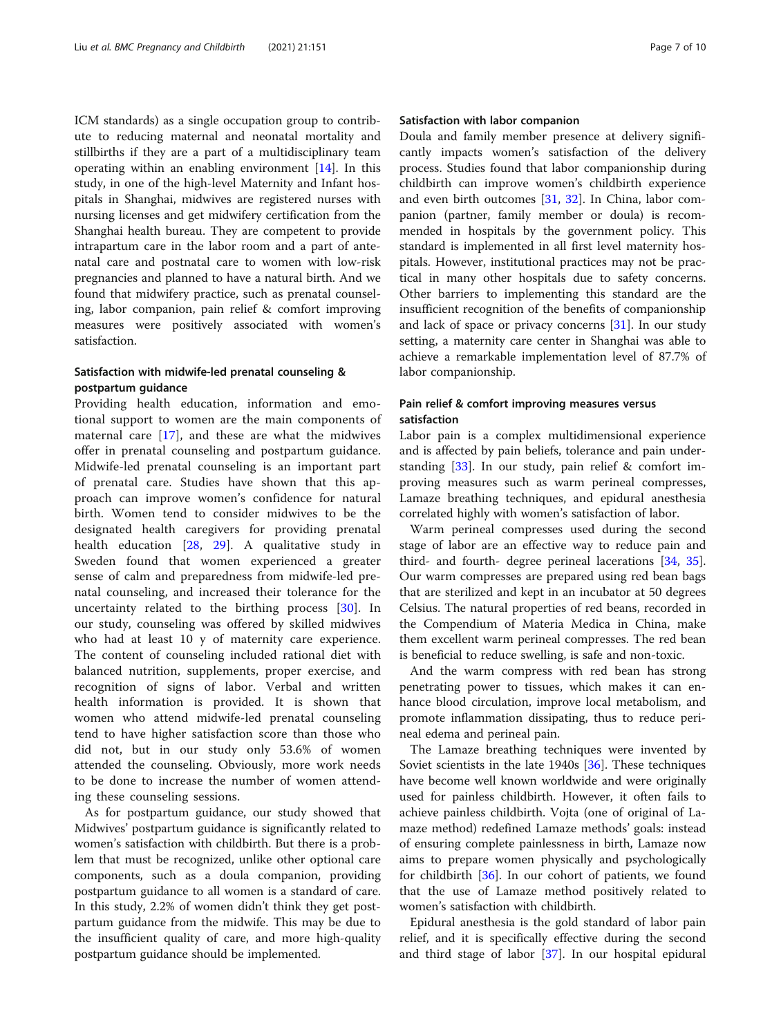ICM standards) as a single occupation group to contribute to reducing maternal and neonatal mortality and stillbirths if they are a part of a multidisciplinary team operating within an enabling environment  $[14]$ . In this study, in one of the high-level Maternity and Infant hospitals in Shanghai, midwives are registered nurses with nursing licenses and get midwifery certification from the Shanghai health bureau. They are competent to provide intrapartum care in the labor room and a part of antenatal care and postnatal care to women with low-risk pregnancies and planned to have a natural birth. And we found that midwifery practice, such as prenatal counseling, labor companion, pain relief & comfort improving measures were positively associated with women's satisfaction.

## Satisfaction with midwife-led prenatal counseling & postpartum guidance

Providing health education, information and emotional support to women are the main components of maternal care [[17\]](#page-9-0), and these are what the midwives offer in prenatal counseling and postpartum guidance. Midwife-led prenatal counseling is an important part of prenatal care. Studies have shown that this approach can improve women's confidence for natural birth. Women tend to consider midwives to be the designated health caregivers for providing prenatal health education [\[28](#page-9-0), [29\]](#page-9-0). A qualitative study in Sweden found that women experienced a greater sense of calm and preparedness from midwife-led prenatal counseling, and increased their tolerance for the uncertainty related to the birthing process [[30\]](#page-9-0). In our study, counseling was offered by skilled midwives who had at least 10 y of maternity care experience. The content of counseling included rational diet with balanced nutrition, supplements, proper exercise, and recognition of signs of labor. Verbal and written health information is provided. It is shown that women who attend midwife-led prenatal counseling tend to have higher satisfaction score than those who did not, but in our study only 53.6% of women attended the counseling. Obviously, more work needs to be done to increase the number of women attending these counseling sessions.

As for postpartum guidance, our study showed that Midwives' postpartum guidance is significantly related to women's satisfaction with childbirth. But there is a problem that must be recognized, unlike other optional care components, such as a doula companion, providing postpartum guidance to all women is a standard of care. In this study, 2.2% of women didn't think they get postpartum guidance from the midwife. This may be due to the insufficient quality of care, and more high-quality postpartum guidance should be implemented.

## Satisfaction with labor companion

Doula and family member presence at delivery significantly impacts women's satisfaction of the delivery process. Studies found that labor companionship during childbirth can improve women's childbirth experience and even birth outcomes  $[31, 32]$  $[31, 32]$  $[31, 32]$  $[31, 32]$  $[31, 32]$ . In China, labor companion (partner, family member or doula) is recommended in hospitals by the government policy. This standard is implemented in all first level maternity hospitals. However, institutional practices may not be practical in many other hospitals due to safety concerns. Other barriers to implementing this standard are the insufficient recognition of the benefits of companionship and lack of space or privacy concerns [\[31](#page-9-0)]. In our study setting, a maternity care center in Shanghai was able to achieve a remarkable implementation level of 87.7% of labor companionship.

## Pain relief & comfort improving measures versus satisfaction

Labor pain is a complex multidimensional experience and is affected by pain beliefs, tolerance and pain understanding [\[33](#page-9-0)]. In our study, pain relief & comfort improving measures such as warm perineal compresses, Lamaze breathing techniques, and epidural anesthesia correlated highly with women's satisfaction of labor.

Warm perineal compresses used during the second stage of labor are an effective way to reduce pain and third- and fourth- degree perineal lacerations [[34,](#page-9-0) [35](#page-9-0)]. Our warm compresses are prepared using red bean bags that are sterilized and kept in an incubator at 50 degrees Celsius. The natural properties of red beans, recorded in the Compendium of Materia Medica in China, make them excellent warm perineal compresses. The red bean is beneficial to reduce swelling, is safe and non-toxic.

And the warm compress with red bean has strong penetrating power to tissues, which makes it can enhance blood circulation, improve local metabolism, and promote inflammation dissipating, thus to reduce perineal edema and perineal pain.

The Lamaze breathing techniques were invented by Soviet scientists in the late 1940s [\[36](#page-9-0)]. These techniques have become well known worldwide and were originally used for painless childbirth. However, it often fails to achieve painless childbirth. Vojta (one of original of Lamaze method) redefined Lamaze methods' goals: instead of ensuring complete painlessness in birth, Lamaze now aims to prepare women physically and psychologically for childbirth [[36](#page-9-0)]. In our cohort of patients, we found that the use of Lamaze method positively related to women's satisfaction with childbirth.

Epidural anesthesia is the gold standard of labor pain relief, and it is specifically effective during the second and third stage of labor [\[37\]](#page-9-0). In our hospital epidural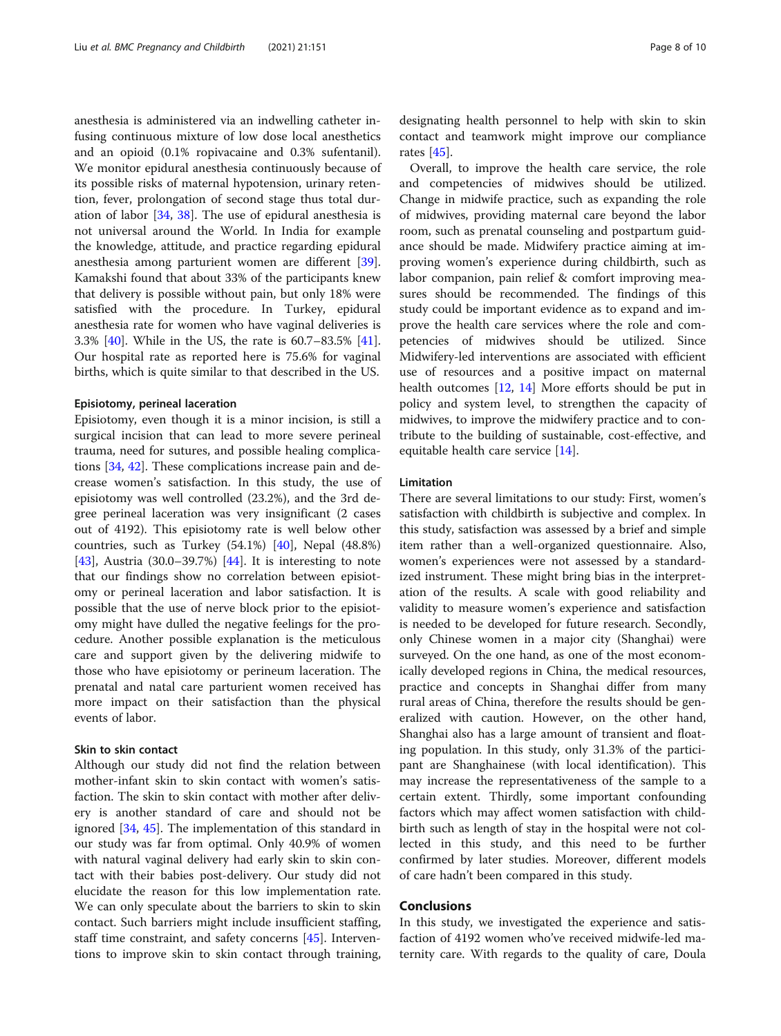anesthesia is administered via an indwelling catheter infusing continuous mixture of low dose local anesthetics and an opioid (0.1% ropivacaine and 0.3% sufentanil). We monitor epidural anesthesia continuously because of its possible risks of maternal hypotension, urinary retention, fever, prolongation of second stage thus total duration of labor [[34,](#page-9-0) [38](#page-9-0)]. The use of epidural anesthesia is not universal around the World. In India for example the knowledge, attitude, and practice regarding epidural anesthesia among parturient women are different [\[39](#page-9-0)]. Kamakshi found that about 33% of the participants knew that delivery is possible without pain, but only 18% were satisfied with the procedure. In Turkey, epidural anesthesia rate for women who have vaginal deliveries is 3.3% [\[40](#page-9-0)]. While in the US, the rate is 60.7–83.5% [\[41](#page-9-0)]. Our hospital rate as reported here is 75.6% for vaginal births, which is quite similar to that described in the US.

#### Episiotomy, perineal laceration

Episiotomy, even though it is a minor incision, is still a surgical incision that can lead to more severe perineal trauma, need for sutures, and possible healing complications [[34,](#page-9-0) [42\]](#page-9-0). These complications increase pain and decrease women's satisfaction. In this study, the use of episiotomy was well controlled (23.2%), and the 3rd degree perineal laceration was very insignificant (2 cases out of 4192). This episiotomy rate is well below other countries, such as Turkey (54.1%) [\[40](#page-9-0)], Nepal (48.8%) [[43\]](#page-9-0), Austria  $(30.0-39.7%)$  [[44\]](#page-9-0). It is interesting to note that our findings show no correlation between episiotomy or perineal laceration and labor satisfaction. It is possible that the use of nerve block prior to the episiotomy might have dulled the negative feelings for the procedure. Another possible explanation is the meticulous care and support given by the delivering midwife to those who have episiotomy or perineum laceration. The prenatal and natal care parturient women received has more impact on their satisfaction than the physical events of labor.

## Skin to skin contact

Although our study did not find the relation between mother-infant skin to skin contact with women's satisfaction. The skin to skin contact with mother after delivery is another standard of care and should not be ignored [\[34,](#page-9-0) [45](#page-9-0)]. The implementation of this standard in our study was far from optimal. Only 40.9% of women with natural vaginal delivery had early skin to skin contact with their babies post-delivery. Our study did not elucidate the reason for this low implementation rate. We can only speculate about the barriers to skin to skin contact. Such barriers might include insufficient staffing, staff time constraint, and safety concerns [\[45\]](#page-9-0). Interventions to improve skin to skin contact through training,

designating health personnel to help with skin to skin contact and teamwork might improve our compliance rates [\[45](#page-9-0)].

Overall, to improve the health care service, the role and competencies of midwives should be utilized. Change in midwife practice, such as expanding the role of midwives, providing maternal care beyond the labor room, such as prenatal counseling and postpartum guidance should be made. Midwifery practice aiming at improving women's experience during childbirth, such as labor companion, pain relief & comfort improving measures should be recommended. The findings of this study could be important evidence as to expand and improve the health care services where the role and competencies of midwives should be utilized. Since Midwifery-led interventions are associated with efficient use of resources and a positive impact on maternal health outcomes [\[12,](#page-8-0) [14\]](#page-9-0) More efforts should be put in policy and system level, to strengthen the capacity of midwives, to improve the midwifery practice and to contribute to the building of sustainable, cost-effective, and equitable health care service [[14](#page-9-0)].

### Limitation

There are several limitations to our study: First, women's satisfaction with childbirth is subjective and complex. In this study, satisfaction was assessed by a brief and simple item rather than a well-organized questionnaire. Also, women's experiences were not assessed by a standardized instrument. These might bring bias in the interpretation of the results. A scale with good reliability and validity to measure women's experience and satisfaction is needed to be developed for future research. Secondly, only Chinese women in a major city (Shanghai) were surveyed. On the one hand, as one of the most economically developed regions in China, the medical resources, practice and concepts in Shanghai differ from many rural areas of China, therefore the results should be generalized with caution. However, on the other hand, Shanghai also has a large amount of transient and floating population. In this study, only 31.3% of the participant are Shanghainese (with local identification). This may increase the representativeness of the sample to a certain extent. Thirdly, some important confounding factors which may affect women satisfaction with childbirth such as length of stay in the hospital were not collected in this study, and this need to be further confirmed by later studies. Moreover, different models of care hadn't been compared in this study.

### Conclusions

In this study, we investigated the experience and satisfaction of 4192 women who've received midwife-led maternity care. With regards to the quality of care, Doula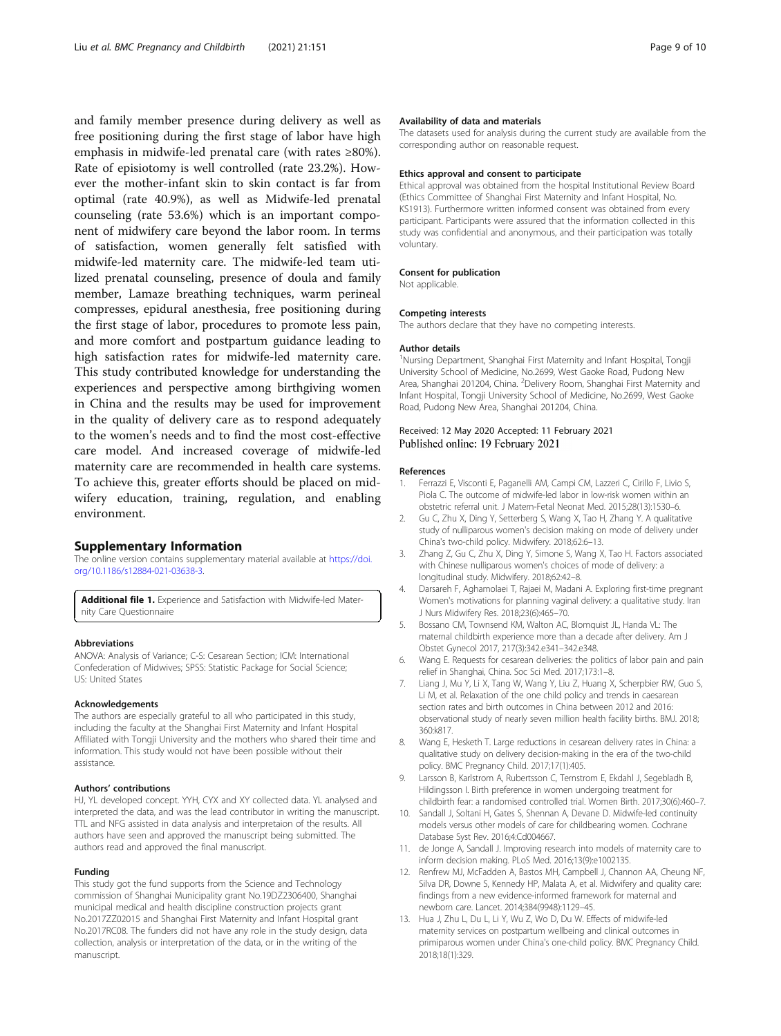<span id="page-8-0"></span>and family member presence during delivery as well as free positioning during the first stage of labor have high emphasis in midwife-led prenatal care (with rates ≥80%). Rate of episiotomy is well controlled (rate 23.2%). However the mother-infant skin to skin contact is far from optimal (rate 40.9%), as well as Midwife-led prenatal counseling (rate 53.6%) which is an important component of midwifery care beyond the labor room. In terms of satisfaction, women generally felt satisfied with midwife-led maternity care. The midwife-led team utilized prenatal counseling, presence of doula and family member, Lamaze breathing techniques, warm perineal compresses, epidural anesthesia, free positioning during the first stage of labor, procedures to promote less pain, and more comfort and postpartum guidance leading to high satisfaction rates for midwife-led maternity care. This study contributed knowledge for understanding the experiences and perspective among birthgiving women in China and the results may be used for improvement in the quality of delivery care as to respond adequately to the women's needs and to find the most cost-effective care model. And increased coverage of midwife-led maternity care are recommended in health care systems. To achieve this, greater efforts should be placed on midwifery education, training, regulation, and enabling environment.

#### Supplementary Information

The online version contains supplementary material available at [https://doi.](https://doi.org/10.1186/s12884-021-03638-3) [org/10.1186/s12884-021-03638-3.](https://doi.org/10.1186/s12884-021-03638-3)

Additional file 1. Experience and Satisfaction with Midwife-led Maternity Care Questionnaire

#### Abbreviations

ANOVA: Analysis of Variance; C-S: Cesarean Section; ICM: International Confederation of Midwives; SPSS: Statistic Package for Social Science; US: United States

#### Acknowledgements

The authors are especially grateful to all who participated in this study, including the faculty at the Shanghai First Maternity and Infant Hospital Affiliated with Tongji University and the mothers who shared their time and information. This study would not have been possible without their assistance.

#### Authors' contributions

HJ, YL developed concept. YYH, CYX and XY collected data. YL analysed and interpreted the data, and was the lead contributor in writing the manuscript. TTL and NFG assisted in data analysis and interpretaion of the results. All authors have seen and approved the manuscript being submitted. The authors read and approved the final manuscript.

#### Funding

This study got the fund supports from the Science and Technology commission of Shanghai Municipality grant No.19DZ2306400, Shanghai municipal medical and health discipline construction projects grant No.2017ZZ02015 and Shanghai First Maternity and Infant Hospital grant No.2017RC08. The funders did not have any role in the study design, data collection, analysis or interpretation of the data, or in the writing of the manuscript.

#### Availability of data and materials

The datasets used for analysis during the current study are available from the corresponding author on reasonable request.

#### Ethics approval and consent to participate

Ethical approval was obtained from the hospital Institutional Review Board (Ethics Committee of Shanghai First Maternity and Infant Hospital, No. KS1913). Furthermore written informed consent was obtained from every participant. Participants were assured that the information collected in this study was confidential and anonymous, and their participation was totally voluntary.

#### Consent for publication

Not applicable.

#### Competing interests

The authors declare that they have no competing interests.

#### Author details

<sup>1</sup>Nursing Department, Shanghai First Maternity and Infant Hospital, Tongji University School of Medicine, No.2699, West Gaoke Road, Pudong New Area, Shanghai 201204, China. <sup>2</sup>Delivery Room, Shanghai First Maternity and Infant Hospital, Tongji University School of Medicine, No.2699, West Gaoke Road, Pudong New Area, Shanghai 201204, China.

#### Received: 12 May 2020 Accepted: 11 February 2021 Published online: 19 February 2021

#### References

- 1. Ferrazzi E, Visconti E, Paganelli AM, Campi CM, Lazzeri C, Cirillo F, Livio S, Piola C. The outcome of midwife-led labor in low-risk women within an obstetric referral unit. J Matern-Fetal Neonat Med. 2015;28(13):1530–6.
- 2. Gu C, Zhu X, Ding Y, Setterberg S, Wang X, Tao H, Zhang Y. A qualitative study of nulliparous women's decision making on mode of delivery under China's two-child policy. Midwifery. 2018;62:6–13.
- 3. Zhang Z, Gu C, Zhu X, Ding Y, Simone S, Wang X, Tao H. Factors associated with Chinese nulliparous women's choices of mode of delivery: a longitudinal study. Midwifery. 2018;62:42–8.
- 4. Darsareh F, Aghamolaei T, Rajaei M, Madani A. Exploring first-time pregnant Women's motivations for planning vaginal delivery: a qualitative study. Iran J Nurs Midwifery Res. 2018;23(6):465–70.
- 5. Bossano CM, Townsend KM, Walton AC, Blomquist JL, Handa VL: The maternal childbirth experience more than a decade after delivery. Am J Obstet Gynecol 2017, 217(3):342.e341–342.e348.
- 6. Wang E. Requests for cesarean deliveries: the politics of labor pain and pain relief in Shanghai, China. Soc Sci Med. 2017;173:1–8.
- 7. Liang J, Mu Y, Li X, Tang W, Wang Y, Liu Z, Huang X, Scherpbier RW, Guo S, Li M, et al. Relaxation of the one child policy and trends in caesarean section rates and birth outcomes in China between 2012 and 2016: observational study of nearly seven million health facility births. BMJ. 2018; 360:k817.
- Wang E, Hesketh T. Large reductions in cesarean delivery rates in China: a qualitative study on delivery decision-making in the era of the two-child policy. BMC Pregnancy Child. 2017;17(1):405.
- 9. Larsson B, Karlstrom A, Rubertsson C, Ternstrom E, Ekdahl J, Segebladh B, Hildingsson I. Birth preference in women undergoing treatment for childbirth fear: a randomised controlled trial. Women Birth. 2017;30(6):460–7.
- 10. Sandall J, Soltani H, Gates S, Shennan A, Devane D. Midwife-led continuity models versus other models of care for childbearing women. Cochrane Database Syst Rev. 2016;4:Cd004667.
- 11. de Jonge A, Sandall J. Improving research into models of maternity care to inform decision making. PLoS Med. 2016;13(9):e1002135.
- 12. Renfrew MJ, McFadden A, Bastos MH, Campbell J, Channon AA, Cheung NF, Silva DR, Downe S, Kennedy HP, Malata A, et al. Midwifery and quality care: findings from a new evidence-informed framework for maternal and newborn care. Lancet. 2014;384(9948):1129–45.
- 13. Hua J, Zhu L, Du L, Li Y, Wu Z, Wo D, Du W. Effects of midwife-led maternity services on postpartum wellbeing and clinical outcomes in primiparous women under China's one-child policy. BMC Pregnancy Child. 2018;18(1):329.